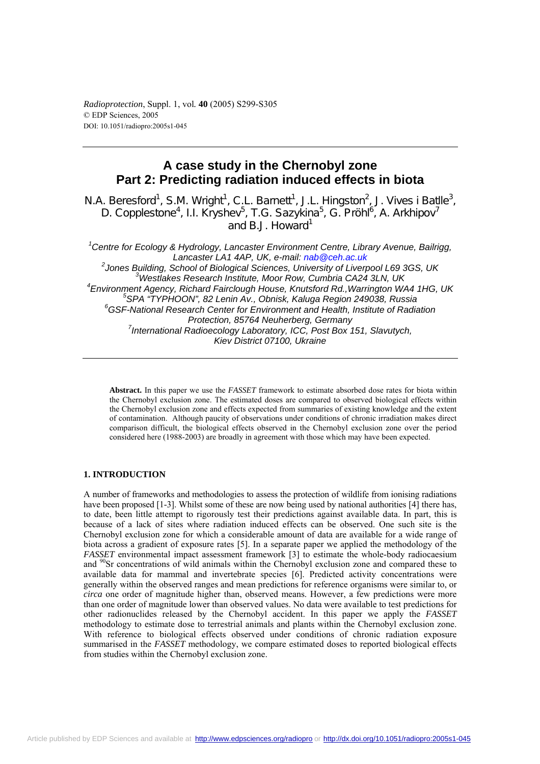*Radioprotection*, Suppl. 1, vol*.* **40** (2005) S299-S305 © EDP Sciences, 2005 DOI: 10.1051/radiopro:2005s1-045

# **A case study in the Chernobyl zone Part 2: Predicting radiation induced effects in biota**

N.A. Beresford<sup>1</sup>, S.M. Wright<sup>1</sup>, C.L. Barnett<sup>1</sup>, J.L. Hingston<sup>2</sup>, J. Vives i Batlle<sup>3</sup>, D. Copplestone<sup>4</sup>, I.I. Kryshev<sup>5</sup>, T.G. Sazykina<sup>5</sup>, G. Pröhl<sup>6</sup>, A. Arkhipov<sup>7</sup> and B.J. Howard<sup>1</sup>

*1 Centre for Ecology & Hydrology, Lancaster Environment Centre, Library Avenue, Bailrigg, Lancaster LA1 4AP, UK, e-mail: nab@ceh.ac.uk* <sup>2</sup> Jones Building, School of Biological Sciences, University of Liverpool L69 3GS, UK<br><sup>3</sup> *3 Meathlace Bossersh Institute Mear Bouy Cumbrie CA34 3LN LIK Westlakes Research Institute, Moor Row, Cumbria CA24 3LN, UK* <sup>4</sup> Environment Agency, Richard Fairclough House, Knutsford Rd., Warrington WA4 1HG, UK<br><sup>5</sup>SBA "TYPHOON", 83 Larin Ay - Obriek Kelves Besien 340038, Russie *SPA "TYPHOON", 82 Lenin Av., Obnisk, Kaluga Region 249038, Russia 6 GSF-National Research Center for Environment and Health, Institute of Radiation Protection, 85764 Neuherberg, Germany 7 International Radioecology Laboratory, ICC, Post Box 151, Slavutych, Kiev District 07100, Ukraine* 

**Abstract.** In this paper we use the *FASSET* framework to estimate absorbed dose rates for biota within the Chernobyl exclusion zone. The estimated doses are compared to observed biological effects within the Chernobyl exclusion zone and effects expected from summaries of existing knowledge and the extent of contamination. Although paucity of observations under conditions of chronic irradiation makes direct comparison difficult, the biological effects observed in the Chernobyl exclusion zone over the period considered here (1988-2003) are broadly in agreement with those which may have been expected.

## **1. INTRODUCTION**

A number of frameworks and methodologies to assess the protection of wildlife from ionising radiations have been proposed [1-3]. Whilst some of these are now being used by national authorities [4] there has, to date, been little attempt to rigorously test their predictions against available data. In part, this is because of a lack of sites where radiation induced effects can be observed. One such site is the Chernobyl exclusion zone for which a considerable amount of data are available for a wide range of biota across a gradient of exposure rates [5]. In a separate paper we applied the methodology of the *FASSET* environmental impact assessment framework [3] to estimate the whole-body radiocaesium and <sup>90</sup>Sr concentrations of wild animals within the Chernobyl exclusion zone and compared these to available data for mammal and invertebrate species [6]. Predicted activity concentrations were generally within the observed ranges and mean predictions for reference organisms were similar to, or *circa* one order of magnitude higher than, observed means. However, a few predictions were more than one order of magnitude lower than observed values. No data were available to test predictions for other radionuclides released by the Chernobyl accident. In this paper we apply the *FASSET* methodology to estimate dose to terrestrial animals and plants within the Chernobyl exclusion zone. With reference to biological effects observed under conditions of chronic radiation exposure summarised in the *FASSET* methodology, we compare estimated doses to reported biological effects from studies within the Chernobyl exclusion zone.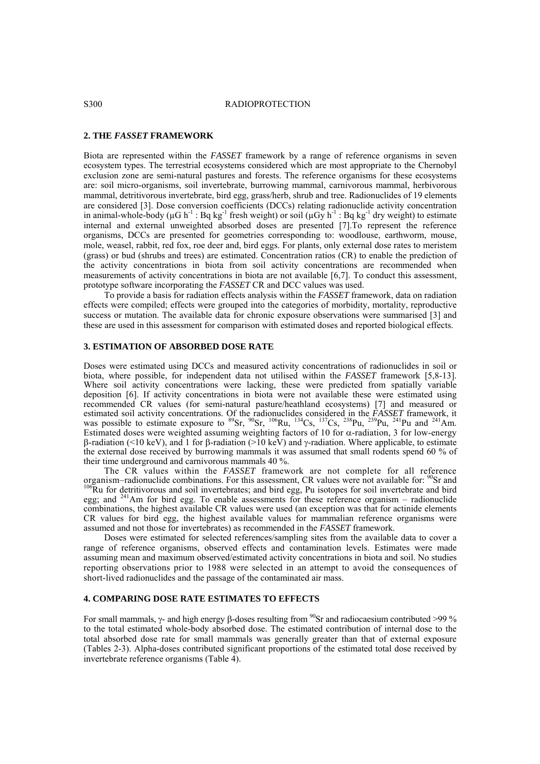#### S300 RADIOPROTECTION

## **2. THE** *FASSET* **FRAMEWORK**

Biota are represented within the *FASSET* framework by a range of reference organisms in seven ecosystem types. The terrestrial ecosystems considered which are most appropriate to the Chernobyl exclusion zone are semi-natural pastures and forests. The reference organisms for these ecosystems are: soil micro-organisms, soil invertebrate, burrowing mammal, carnivorous mammal, herbivorous mammal, detritivorous invertebrate, bird egg, grass/herb, shrub and tree. Radionuclides of 19 elements are considered [3]. Dose conversion coefficients (DCCs) relating radionuclide activity concentration in animal-whole-body ( $\mu$ G h<sup>-1</sup> : Bq kg<sup>-1</sup> fresh weight) or soil ( $\mu$ Gy h<sup>-1</sup> : Bq kg<sup>-1</sup> dry weight) to estimate internal and external unweighted absorbed doses are presented [7].To represent the reference organisms, DCCs are presented for geometries corresponding to: woodlouse, earthworm, mouse, mole, weasel, rabbit, red fox, roe deer and, bird eggs. For plants, only external dose rates to meristem (grass) or bud (shrubs and trees) are estimated. Concentration ratios (CR) to enable the prediction of the activity concentrations in biota from soil activity concentrations are recommended when measurements of activity concentrations in biota are not available [6,7]. To conduct this assessment, prototype software incorporating the *FASSET* CR and DCC values was used.

To provide a basis for radiation effects analysis within the *FASSET* framework, data on radiation effects were compiled; effects were grouped into the categories of morbidity, mortality, reproductive success or mutation. The available data for chronic exposure observations were summarised [3] and these are used in this assessment for comparison with estimated doses and reported biological effects.

## **3. ESTIMATION OF ABSORBED DOSE RATE**

Doses were estimated using DCCs and measured activity concentrations of radionuclides in soil or biota, where possible, for independent data not utilised within the *FASSET* framework [5,8-13]. Where soil activity concentrations were lacking, these were predicted from spatially variable deposition [6]. If activity concentrations in biota were not available these were estimated using recommended CR values (for semi-natural pasture/heathland ecosystems) [7] and measured or estimated soil activity concentrations. Of the radionuclides considered in the *FASSET* framework, it was possible to estimate exposure to <sup>89</sup>Sr, <sup>90</sup>Sr, <sup>106</sup>Ru, <sup>134</sup>Cs, <sup>137</sup>Cs, <sup>238</sup>Pu, <sup>239</sup>Pu, <sup>241</sup>Pu and <sup>241</sup>Am. Estimated doses were weighted assuming weighting factors of 10 for  $\alpha$ -radiation, 3 for low-energy β-radiation (<10 keV), and 1 for β-radiation (>10 keV) and γ-radiation. Where applicable, to estimate the external dose received by burrowing mammals it was assumed that small rodents spend 60 % of their time underground and carnivorous mammals 40 %.

The CR values within the *FASSET* framework are not complete for all reference organism–radionuclide combinations. For this assessment, CR values were not available for:  $90$ Sr and  $106$ Ru for detritivorous and soil invertebrates; and bird egg, Pu isotopes for soil invertebrate and bird egg; and <sup>241</sup>Am for bird egg. To enable assessments for these reference organism – radionuclide combinations, the highest available CR values were used (an exception was that for actinide elements CR values for bird egg, the highest available values for mammalian reference organisms were assumed and not those for invertebrates) as recommended in the *FASSET* framework.

Doses were estimated for selected references/sampling sites from the available data to cover a range of reference organisms, observed effects and contamination levels. Estimates were made assuming mean and maximum observed/estimated activity concentrations in biota and soil. No studies reporting observations prior to 1988 were selected in an attempt to avoid the consequences of short-lived radionuclides and the passage of the contaminated air mass.

## **4. COMPARING DOSE RATE ESTIMATES TO EFFECTS**

For small mammals, γ- and high energy β-doses resulting from <sup>90</sup>Sr and radiocaesium contributed >99 % to the total estimated whole-body absorbed dose. The estimated contribution of internal dose to the total absorbed dose rate for small mammals was generally greater than that of external exposure (Tables 2-3). Alpha-doses contributed significant proportions of the estimated total dose received by invertebrate reference organisms (Table 4).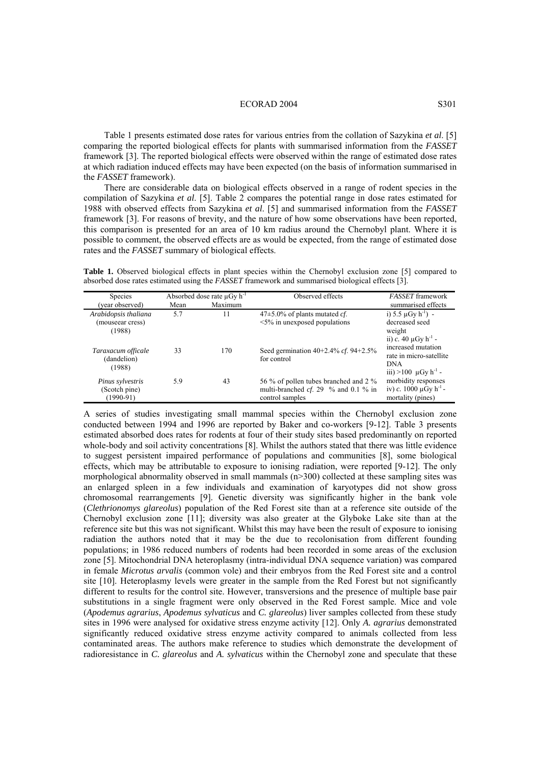#### ECORAD 2004 S301

Table 1 presents estimated dose rates for various entries from the collation of Sazykina *et al*. [5] comparing the reported biological effects for plants with summarised information from the *FASSET* framework [3]. The reported biological effects were observed within the range of estimated dose rates at which radiation induced effects may have been expected (on the basis of information summarised in the *FASSET* framework).

There are considerable data on biological effects observed in a range of rodent species in the compilation of Sazykina *et al*. [5]. Table 2 compares the potential range in dose rates estimated for 1988 with observed effects from Sazykina *et al*. [5] and summarised information from the *FASSET* framework [3]. For reasons of brevity, and the nature of how some observations have been reported, this comparison is presented for an area of 10 km radius around the Chernobyl plant. Where it is possible to comment, the observed effects are as would be expected, from the range of estimated dose rates and the *FASSET* summary of biological effects.

**Table 1.** Observed biological effects in plant species within the Chernobyl exclusion zone [5] compared to absorbed dose rates estimated using the *FASSET* framework and summarised biological effects [3].

| <b>Species</b>                                     | Absorbed dose rate $\mu$ Gy h <sup>-1</sup> |         | Observed effects                                                                                    | <b>FASSET</b> framework                                                                             |  |  |
|----------------------------------------------------|---------------------------------------------|---------|-----------------------------------------------------------------------------------------------------|-----------------------------------------------------------------------------------------------------|--|--|
| (year observed)                                    | Mean                                        | Maximum |                                                                                                     | summarised effects                                                                                  |  |  |
| Arabidopsis thaliana<br>(mouseear cress)<br>(1988) | 5.7                                         | 11      | $47\pm5.0\%$ of plants mutated <i>cf</i> .<br>$\leq$ 5% in unexposed populations                    | i) $5.5 \mu Gv h^{-1}$ ) -<br>decreased seed<br>weight<br>ii) c. 40 $\mu$ Gy h <sup>-1</sup> -      |  |  |
| Taraxacum officale<br>(dandelion)<br>(1988)        | 33                                          | 170     | Seed germination $40+2.4\%$ cf. $94+2.5\%$<br>for control                                           | increased mutation<br>rate in micro-satellite<br><b>DNA</b><br>iii) >100 $\mu$ Gy h <sup>-1</sup> - |  |  |
| Pinus sylvestris<br>(Scotch pine)<br>$(1990-91)$   | 5.9                                         | 43      | 56 % of pollen tubes branched and 2 %<br>multi-branched $cf. 29 \%$ and 0.1 % in<br>control samples | morbidity responses<br>iv) c. 1000 $\mu$ Gy h <sup>-1</sup> -<br>mortality (pines)                  |  |  |

A series of studies investigating small mammal species within the Chernobyl exclusion zone conducted between 1994 and 1996 are reported by Baker and co-workers [9-12]. Table 3 presents estimated absorbed does rates for rodents at four of their study sites based predominantly on reported whole-body and soil activity concentrations [8]. Whilst the authors stated that there was little evidence to suggest persistent impaired performance of populations and communities [8], some biological effects, which may be attributable to exposure to ionising radiation, were reported [9-12]. The only morphological abnormality observed in small mammals  $(n>300)$  collected at these sampling sites was an enlarged spleen in a few individuals and examination of karyotypes did not show gross chromosomal rearrangements [9]. Genetic diversity was significantly higher in the bank vole (*Clethrionomys glareolus*) population of the Red Forest site than at a reference site outside of the Chernobyl exclusion zone [11]; diversity was also greater at the Glyboke Lake site than at the reference site but this was not significant. Whilst this may have been the result of exposure to ionising radiation the authors noted that it may be the due to recolonisation from different founding populations; in 1986 reduced numbers of rodents had been recorded in some areas of the exclusion zone [5]. Mitochondrial DNA heteroplasmy (intra-individual DNA sequence variation) was compared in female *Microtus arvalis* (common vole) and their embryos from the Red Forest site and a control site [10]. Heteroplasmy levels were greater in the sample from the Red Forest but not significantly different to results for the control site. However, transversions and the presence of multiple base pair substitutions in a single fragment were only observed in the Red Forest sample. Mice and vole (*Apodemus agrarius*, *Apodemus sylvaticus* and *C. glareolus*) liver samples collected from these study sites in 1996 were analysed for oxidative stress enzyme activity [12]. Only *A. agrarius* demonstrated significantly reduced oxidative stress enzyme activity compared to animals collected from less contaminated areas. The authors make reference to studies which demonstrate the development of radioresistance in *C. glareolus* and *A. sylvaticus* within the Chernobyl zone and speculate that these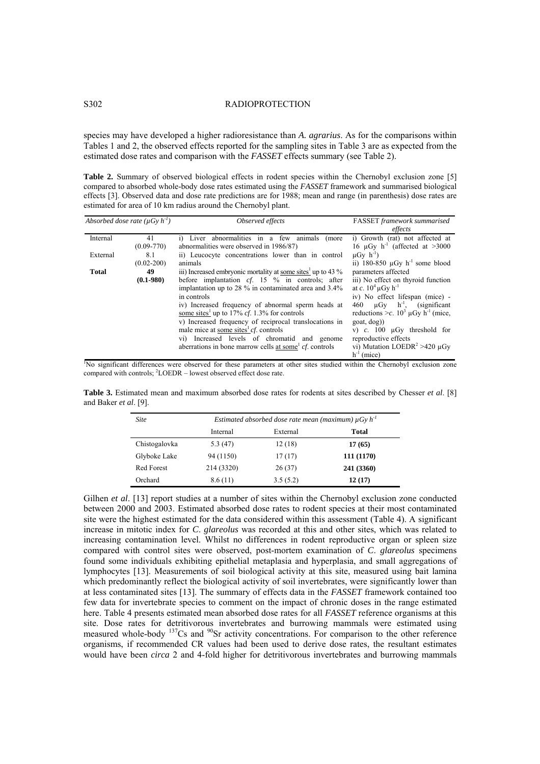### S302 RADIOPROTECTION

species may have developed a higher radioresistance than *A. agrarius*. As for the comparisons within Tables 1 and 2, the observed effects reported for the sampling sites in Table 3 are as expected from the estimated dose rates and comparison with the *FASSET* effects summary (see Table 2).

**Table 2.** Summary of observed biological effects in rodent species within the Chernobyl exclusion zone [5] compared to absorbed whole-body dose rates estimated using the *FASSET* framework and summarised biological effects [3]. Observed data and dose rate predictions are for 1988; mean and range (in parenthesis) dose rates are estimated for area of 10 km radius around the Chernobyl plant.

| Absorbed dose rate ( $\mu Gv h^{-1}$ ) |                       | Observed effects                                                                                                                                                                                                                                                                                                                                                                                                                                                                                                                 | <b>FASSET</b> framework summarised<br>effects                                                                                                                                                                                                                                                                                                                                        |  |  |
|----------------------------------------|-----------------------|----------------------------------------------------------------------------------------------------------------------------------------------------------------------------------------------------------------------------------------------------------------------------------------------------------------------------------------------------------------------------------------------------------------------------------------------------------------------------------------------------------------------------------|--------------------------------------------------------------------------------------------------------------------------------------------------------------------------------------------------------------------------------------------------------------------------------------------------------------------------------------------------------------------------------------|--|--|
| Internal                               | 41<br>$(0.09 - 770)$  | i) Liver abnormalities in a few animals (more<br>abnormalities were observed in 1986/87)                                                                                                                                                                                                                                                                                                                                                                                                                                         | i) Growth (rat) not affected at<br>16 $\mu$ Gy h <sup>-1</sup> (affected at >3000                                                                                                                                                                                                                                                                                                    |  |  |
| External                               | 8.1<br>$(0.02 - 200)$ | ii) Leucocyte concentrations lower than in control<br>animals                                                                                                                                                                                                                                                                                                                                                                                                                                                                    | $\mu$ Gy h <sup>-1</sup> )<br>ii) 180-850 $\mu$ Gy h <sup>-1</sup> some blood                                                                                                                                                                                                                                                                                                        |  |  |
| Total                                  | 49<br>$(0.1 - 980)$   | iii) Increased embryonic mortality at some sites up to 43 %<br>before implantation $cf. 15 \%$ in controls; after<br>implantation up to 28 % in contaminated area and 3.4%<br>in controls<br>iv) Increased frequency of abnormal sperm heads at<br>some sites <sup>1</sup> up to 17% <i>cf.</i> 1.3% for controls<br>v) Increased frequency of reciprocal translocations in<br>male mice at some sites $cf.$ controls<br>vi) Increased levels of chromatid and genome<br>aberrations in bone marrow cells at some $cf.$ controls | parameters affected<br>iii) No effect on thyroid function<br>at c. $10^4 \mu Gv h^{-1}$<br>iv) No effect lifespan (mice) -<br>$\mu Gv$ h <sup>-1</sup> , (significant<br>460<br>reductions >c. $10^3 \mu Gy$ h <sup>-1</sup> (mice,<br>goal, dog)<br>v) $c$ . 100 $\mu$ Gy threshold for<br>reproductive effects<br>vi) Mutation LOEDR <sup>2</sup> >420 $\mu$ Gy<br>$h^{-1}$ (mice) |  |  |
|                                        |                       | 'No significant differences were observed for these parameters at other sites studied within the Chernobyl exclusion zone                                                                                                                                                                                                                                                                                                                                                                                                        |                                                                                                                                                                                                                                                                                                                                                                                      |  |  |

compared with controls; <sup>2</sup>LOEDR - lowest observed effect dose rate.

**Table 3.** Estimated mean and maximum absorbed dose rates for rodents at sites described by Chesser *et al*. [8] and Baker *et al*. [9].

| <b>Site</b>   | Estimated absorbed dose rate mean (maximum) $\mu G y h^{-1}$ |          |            |  |  |  |  |  |
|---------------|--------------------------------------------------------------|----------|------------|--|--|--|--|--|
|               | Internal                                                     | External | Total      |  |  |  |  |  |
| Chistogalovka | 5.3(47)                                                      | 12(18)   | 17(65)     |  |  |  |  |  |
| Glyboke Lake  | 94 (1150)                                                    | 17(17)   | 111 (1170) |  |  |  |  |  |
| Red Forest    | 214 (3320)                                                   | 26(37)   | 241 (3360) |  |  |  |  |  |
| Orchard       | 8.6(11)                                                      | 3.5(5.2) | 12(17)     |  |  |  |  |  |

Gilhen *et al.* [13] report studies at a number of sites within the Chernobyl exclusion zone conducted between 2000 and 2003. Estimated absorbed dose rates to rodent species at their most contaminated site were the highest estimated for the data considered within this assessment (Table 4). A significant increase in mitotic index for *C*. *glareolus* was recorded at this and other sites, which was related to increasing contamination level. Whilst no differences in rodent reproductive organ or spleen size compared with control sites were observed, post-mortem examination of *C*. *glareolus* specimens found some individuals exhibiting epithelial metaplasia and hyperplasia, and small aggregations of lymphocytes [13]. Measurements of soil biological activity at this site, measured using bait lamina which predominantly reflect the biological activity of soil invertebrates, were significantly lower than at less contaminated sites [13]. The summary of effects data in the *FASSET* framework contained too few data for invertebrate species to comment on the impact of chronic doses in the range estimated here. Table 4 presents estimated mean absorbed dose rates for all *FASSET* reference organisms at this site. Dose rates for detritivorous invertebrates and burrowing mammals were estimated using measured whole-body <sup>137</sup>Cs and <sup>90</sup>Sr activity concentrations. For comparison to the other reference organisms, if recommended CR values had been used to derive dose rates, the resultant estimates would have been *circa* 2 and 4-fold higher for detritivorous invertebrates and burrowing mammals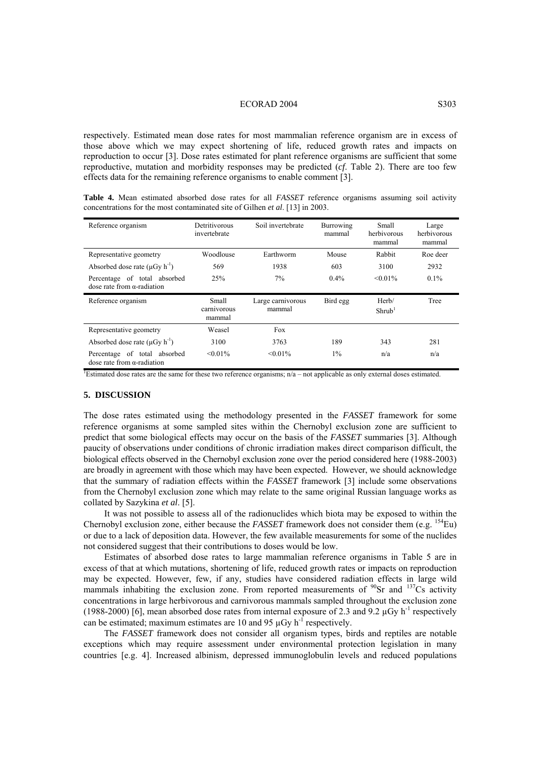#### ECORAD 2004 S303

respectively. Estimated mean dose rates for most mammalian reference organism are in excess of those above which we may expect shortening of life, reduced growth rates and impacts on reproduction to occur [3]. Dose rates estimated for plant reference organisms are sufficient that some reproductive, mutation and morbidity responses may be predicted (*cf*. Table 2). There are too few effects data for the remaining reference organisms to enable comment [3].

|  |                                                                                     |  |  |  | <b>Table 4.</b> Mean estimated absorbed dose rates for all <i>FASSET</i> reference organisms assuming soil activity |  |  |
|--|-------------------------------------------------------------------------------------|--|--|--|---------------------------------------------------------------------------------------------------------------------|--|--|
|  | concentrations for the most contaminated site of Gilhen <i>et al.</i> [13] in 2003. |  |  |  |                                                                                                                     |  |  |

| Reference organism                                                 | Detritivorous<br>invertebrate  | Soil invertebrate           | Burrowing<br>mammal | Small<br>herbivorous<br>mammal | Large<br>herbivorous<br>mammal |
|--------------------------------------------------------------------|--------------------------------|-----------------------------|---------------------|--------------------------------|--------------------------------|
| Representative geometry                                            | Woodlouse                      | Earthworm                   | Mouse               | Rabbit                         | Roe deer                       |
| Absorbed dose rate $(\mu Gy h^{-1})$                               | 569                            | 1938                        | 603                 | 3100                           | 2932                           |
| Percentage of total absorbed<br>dose rate from $\alpha$ -radiation | 25%                            | 7%                          | $0.4\%$             | $< 0.01\%$                     | $0.1\%$                        |
|                                                                    |                                |                             |                     |                                |                                |
| Reference organism                                                 | Small<br>carnivorous<br>mammal | Large carnivorous<br>mammal | Bird egg            | Herb/<br>Shrub <sup>1</sup>    | Tree                           |
| Representative geometry                                            | Weasel                         | Fox                         |                     |                                |                                |
| Absorbed dose rate $(\mu Gv h^{-1})$                               | 3100                           | 3763                        | 189                 | 343                            | 281                            |

<sup>1</sup>Estimated dose rates are the same for these two reference organisms;  $n/a$  – not applicable as only external doses estimated.

### **5. DISCUSSION**

The dose rates estimated using the methodology presented in the *FASSET* framework for some reference organisms at some sampled sites within the Chernobyl exclusion zone are sufficient to predict that some biological effects may occur on the basis of the *FASSET* summaries [3]. Although paucity of observations under conditions of chronic irradiation makes direct comparison difficult, the biological effects observed in the Chernobyl exclusion zone over the period considered here (1988-2003) are broadly in agreement with those which may have been expected. However, we should acknowledge that the summary of radiation effects within the *FASSET* framework [3] include some observations from the Chernobyl exclusion zone which may relate to the same original Russian language works as collated by Sazykina *et al*. [5].

It was not possible to assess all of the radionuclides which biota may be exposed to within the Chernobyl exclusion zone, either because the *FASSET* framework does not consider them (e.g. <sup>154</sup>Eu) or due to a lack of deposition data. However, the few available measurements for some of the nuclides not considered suggest that their contributions to doses would be low.

Estimates of absorbed dose rates to large mammalian reference organisms in Table 5 are in excess of that at which mutations, shortening of life, reduced growth rates or impacts on reproduction may be expected. However, few, if any, studies have considered radiation effects in large wild mammals inhabiting the exclusion zone. From reported measurements of <sup>90</sup>Sr and <sup>137</sup>Cs activity concentrations in large herbivorous and carnivorous mammals sampled throughout the exclusion zone (1988-2000) [6], mean absorbed dose rates from internal exposure of 2.3 and 9.2  $\mu$ Gy h<sup>-1</sup> respectively can be estimated; maximum estimates are 10 and 95  $\mu$ Gy h<sup>-1</sup> respectively.

The *FASSET* framework does not consider all organism types, birds and reptiles are notable exceptions which may require assessment under environmental protection legislation in many countries [e.g. 4]. Increased albinism, depressed immunoglobulin levels and reduced populations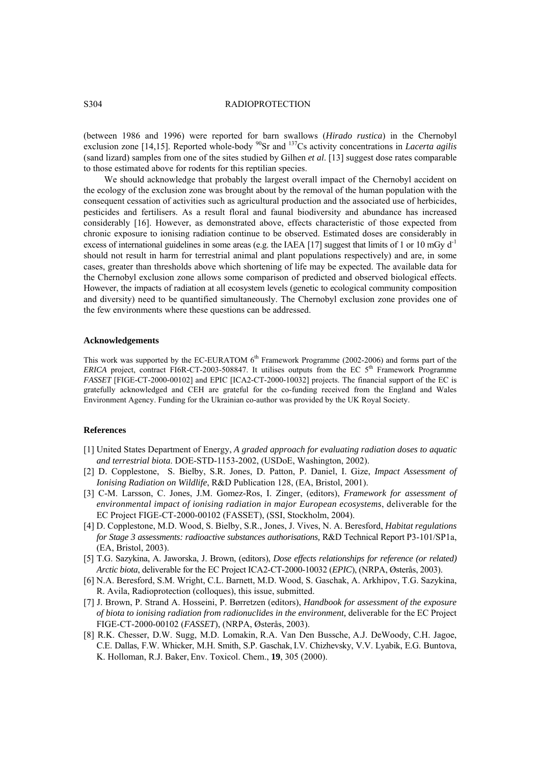## S304 RADIOPROTECTION

(between 1986 and 1996) were reported for barn swallows (*Hirado rustica*) in the Chernobyl exclusion zone [14,15]. Reported whole-body <sup>90</sup>Sr and <sup>137</sup>Cs activity concentrations in *Lacerta agilis* (sand lizard) samples from one of the sites studied by Gilhen *et al*. [13] suggest dose rates comparable to those estimated above for rodents for this reptilian species.

We should acknowledge that probably the largest overall impact of the Chernobyl accident on the ecology of the exclusion zone was brought about by the removal of the human population with the consequent cessation of activities such as agricultural production and the associated use of herbicides, pesticides and fertilisers. As a result floral and faunal biodiversity and abundance has increased considerably [16]. However, as demonstrated above, effects characteristic of those expected from chronic exposure to ionising radiation continue to be observed. Estimated doses are considerably in excess of international guidelines in some areas (e.g. the IAEA [17] suggest that limits of 1 or 10 mGy  $d<sup>-1</sup>$ should not result in harm for terrestrial animal and plant populations respectively) and are, in some cases, greater than thresholds above which shortening of life may be expected. The available data for the Chernobyl exclusion zone allows some comparison of predicted and observed biological effects. However, the impacts of radiation at all ecosystem levels (genetic to ecological community composition and diversity) need to be quantified simultaneously. The Chernobyl exclusion zone provides one of the few environments where these questions can be addressed.

#### **Acknowledgements**

This work was supported by the EC-EURATOM 6<sup>th</sup> Framework Programme (2002-2006) and forms part of the *ERICA* project, contract FI6R-CT-2003-508847. It utilises outputs from the EC 5<sup>th</sup> Framework Programme *FASSET* [FIGE-CT-2000-00102] and EPIC [ICA2-CT-2000-10032] projects. The financial support of the EC is gratefully acknowledged and CEH are grateful for the co-funding received from the England and Wales Environment Agency. Funding for the Ukrainian co-author was provided by the UK Royal Society.

#### **References**

- [1] United States Department of Energy, *A graded approach for evaluating radiation doses to aquatic and terrestrial biota*. DOE-STD-1153-2002, (USDoE, Washington, 2002).
- [2] D. Copplestone, S. Bielby, S.R. Jones, D. Patton, P. Daniel, I. Gize, *Impact Assessment of Ionising Radiation on Wildlife*, R&D Publication 128, (EA, Bristol, 2001).
- [3] C-M. Larsson, C. Jones, J.M. Gomez-Ros, I. Zinger, (editors), *Framework for assessment of environmental impact of ionising radiation in major European ecosystems*, deliverable for the EC Project FIGE-CT-2000-00102 (FASSET), (SSI, Stockholm, 2004).
- [4] D. Copplestone, M.D. Wood, S. Bielby, S.R., Jones, J. Vives, N. A. Beresford, *Habitat regulations for Stage 3 assessments: radioactive substances authorisations, R&D Technical Report P3-101/SP1a,* (EA, Bristol, 2003).
- [5] T.G. Sazykina, A. Jaworska, J. Brown, (editors), *Dose effects relationships for reference (or related) Arctic biota*, deliverable for the EC Project ICA2-CT-2000-10032 (*EPIC*), (NRPA, Østerås, 2003).
- [6] N.A. Beresford, S.M. Wright, C.L. Barnett, M.D. Wood, S. Gaschak, A. Arkhipov, T.G. Sazykina, R. Avila, Radioprotection (colloques), this issue, submitted.
- [7] J. Brown, P. Strand A. Hosseini, P. Børretzen (editors), *Handbook for assessment of the exposure of biota to ionising radiation from radionuclides in the environment,* deliverable for the EC Project FIGE-CT-2000-00102 (*FASSET*), (NRPA, Østerås, 2003).
- [8] R.K. Chesser, D.W. Sugg, M.D. Lomakin, R.A. Van Den Bussche, A.J. DeWoody, C.H. Jagoe, C.E. Dallas, F.W. Whicker, M.H. Smith, S.P. Gaschak, I.V. Chizhevsky, V.V. Lyabik, E.G. Buntova, K. Holloman, R.J. Baker, Env. Toxicol. Chem., **19**, 305 (2000).